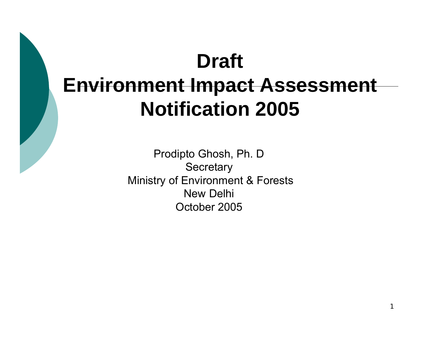# **Draft Environment Impact Assessment Notification 2005**

Prodipto Ghosh, Ph. D **Secretary** Ministry of Environment & Forests New DelhiOctober 2005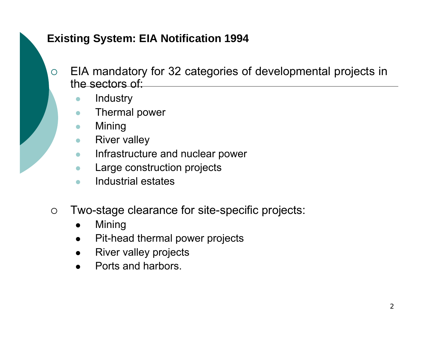#### **Existing System: EIA Notification 1994**

- ${\bigcirc}$  EIA mandatory for 32 categories of developmental projects in the sectors of:
	- $\bullet$ **Industry**
	- $\bullet$ Thermal power
	- $\bullet$ Mining
	- $\bullet$ River valley
	- $\bullet$ Infrastructure and nuclear power
	- $\bullet$ Large construction projects
	- $\bullet$ Industrial estates
- $\bigcirc$  Two-stage clearance for site-specific projects:
	- $\bullet$ Mining
	- Pit-head thermal power projects
	- $\bullet$ River valley projects
	- $\bullet$ Ports and harbors.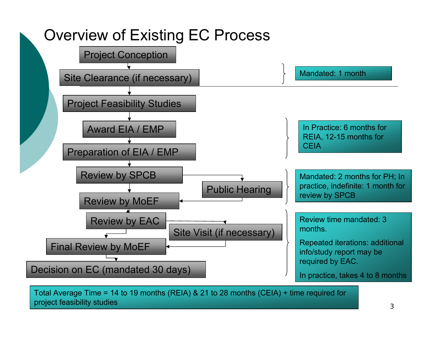

project feasibility studies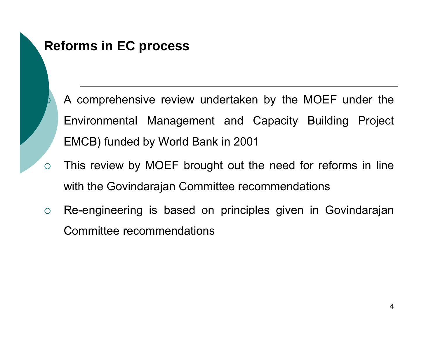

### **Reforms in EC process**

- A comprehensive review undertaken by the MOEF under the Environmental Management and Capacity Building Project EMCB) funded by World Bank in 2001
- This review by MOEF brought out the need for reforms in line with the Govindarajan Committee recommendations
- ${\bigcirc}$  Re-engineering is based on principles given in Govindarajan Committee recommendations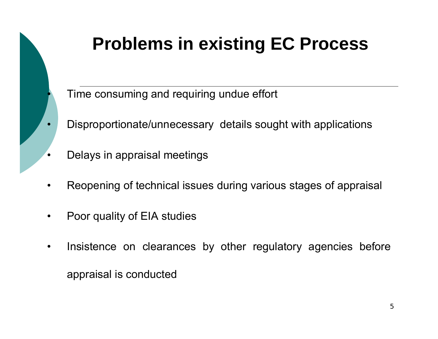

# **Problems in existing EC Process**

Time consuming and requiring undue effort

- Disproportionate/unnecessary details sought with applications
- Delays in appraisal meetings
- $\bullet$ Reopening of technical issues during various stages of appraisal
- $\bullet$ Poor quality of EIA studies
- $\bullet$  Insistence on clearances by other regulatory agencies before appraisal is conducted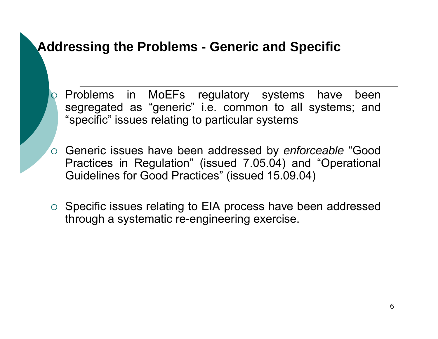### **Addressing the Problems - Generic and Specific**

 ${\color{blue}\mathsf{O}}$ 

- Problems in MoEFs regulatory systems have been segregated as "generic" i.e. common to all systems; and "specific" issues relating to particular systems
- { Generic issues have been addressed by *enforceable* "Good Practices in Regulation" (issued 7.05.04) and "Operational Guidelines for Good Practices" (issued 15.09.04)
- $\circ$  Specific issues relating to EIA process have been addressed through a systematic re-engineering exercise.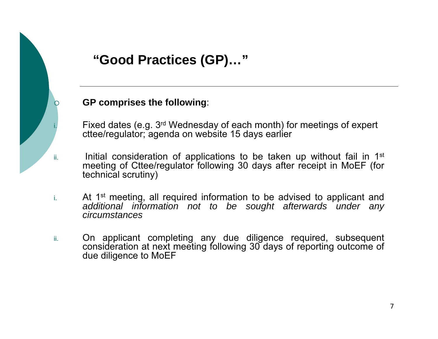

### **"Good Practices (GP)…"**

#### **GP comprises the following**:

 Fixed dates (e.g. 3rd Wednesday of each month) for meetings of expert cttee/regulator; agenda on website 15 days earlier

- Initial consideration of applications to be taken up without fail in 1<sup>st</sup> meeting of Cttee/regulator following 30 days after receipt in MoEF (for technical scrutiny)
- i.At 1<sup>st</sup> meeting, all required information to be advised to applicant and *additional information not to be sought afterwards under any circumstances*
- ii. On applicant completing any due diligence required, subsequent consideration at next meeting following 30 days of reporting outcome of due diligence to MoEF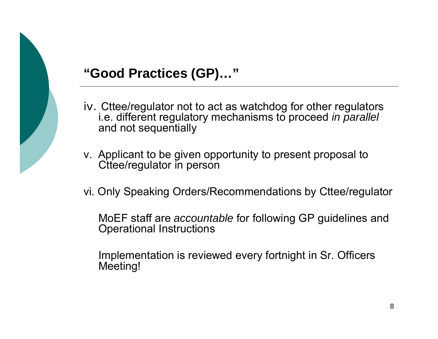

### **"Good Practices (GP)…"**

- iv. Cttee/regulator not to act as watchdog for other regulators i.e. different regulatory mechanisms to proceed *in parallel* and not sequentially
- v. Applicant to be given opportunity to present proposal to Cttee/regulator in person
- vi. Only Speaking Orders/Recommendations by Cttee/regulator
	- MoEF staff are *accountable* for following GP guidelines and Operational Instructions
	- Implementation is reviewed every fortnight in Sr. Officers Meeting!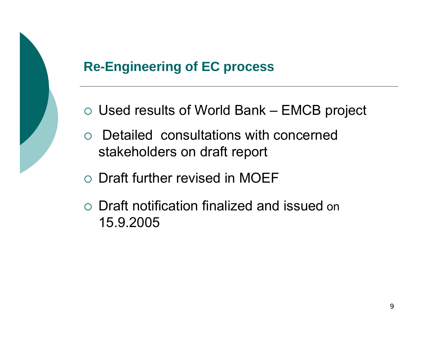

## **Re-Engineering of EC process**

- $\circ$  Used results of World Bank EMCB project
- $\circ$  Detailed consultations with concerned stakeholders on draft report
- $\circ$  Draft further revised in MOEF
- $\circ$  Draft notification finalized and issued on 15.9.2005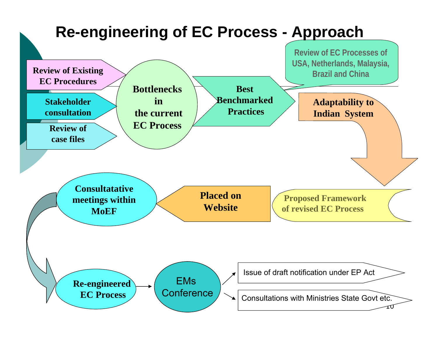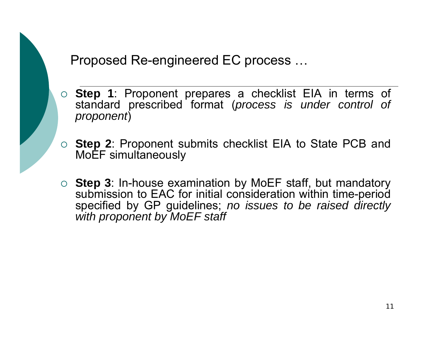### Proposed Re-engineered EC process …

- { **Step 1**: Proponent prepares a checklist EIA in terms of standard prescribed format (*process is under control of proponent*)
- { **Step 2**: Proponent submits checklist EIA to State PCB and MoEF simultaneously
- { **Step 3**: In-house examination by MoEF staff, but mandatory submission to EAC for initial consideration within time-period specified by GP guidelines; *no issues to be raised directly with proponent by MoEF staff*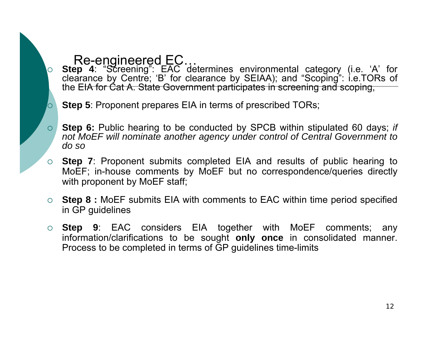#### Re-engineered EC…

 $\overline{O}$ 

 **Step 4**: "Screening": EAC determines environmental category (i.e. 'A' for clearance by Centre; 'B' for clearance by SEIAA); and "Scoping": i.e.TORs of the EIA for Cat A. State Government participates in screening and scoping,



- $\Omega$  **Step 6:** Public hearing to be conducted by SPCB within stipulated 60 days; *if not MoEF will nominate another agency under control of Central Government to do so*
- $\circ$ **Step 7:** Proponent submits completed EIA and results of public hearing to MoEF; in-house comments by MoEF but no correspondence/queries directly with proponent by MoEF staff;
- { **Step 8 :** MoEF submits EIA with comments to EAC within time period specified in GP guidelines
- { **Step 9**: EAC considers EIA together with MoEF comments; any information/clarifications to be sought **only once** in consolidated manner. Process to be completed in terms of GP guidelines time-limits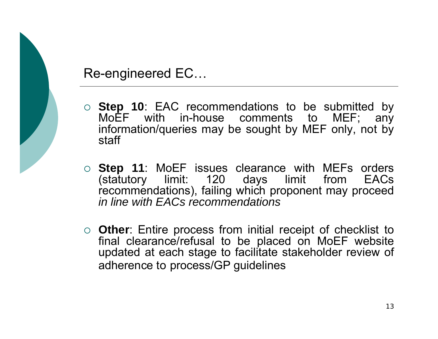

#### Re-engineered EC…

- { **Step 10**: EAC recommendations to be submitted by MoEF with in-house comments to MEF; any information/queries may be sought by MEF only, not by staff
- { **Step 11**: MoEF issues clearance with MEFs orders (statutory limit: 120 days limit from EACs recommendations), failing which proponent may proceed *in line with EACs recommendations*
- { **Other**: Entire process from initial receipt of checklist to final clearance/refusal to be placed on MoEF website updated at each stage to facilitate stakeholder review of adherence to process/GP guidelines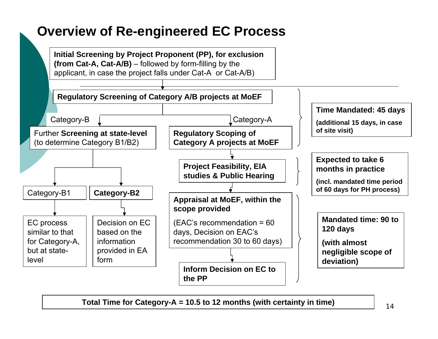### **Overview of Re-engineered EC Process**

**Initial Screening by Project Proponent (PP), for exclusion (from Cat-A, Cat-A/B)** – followed by form-filling by the applicant, in case the project falls under Cat-A or Cat-A/B)



**Total Time for Category-A = 10.5 to 12 months (with certainty in time)**

14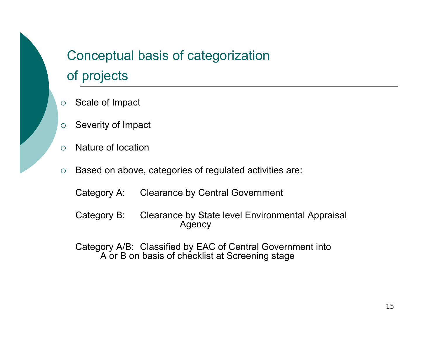## Conceptual basis of categorization of projects

- ${\circ}$ Scale of Impact
- ${\circ}$ Severity of Impact
- ${\circ}$ Nature of location
- ${\circ}$  Based on above, categories of regulated activities are:
	- Category A: Clearance by Central Government
	- Category B: Clearance by State level Environmental Appraisal Agency
	- Category A/B: Classified by EAC of Central Government into A or B on basis of checklist at Screening stage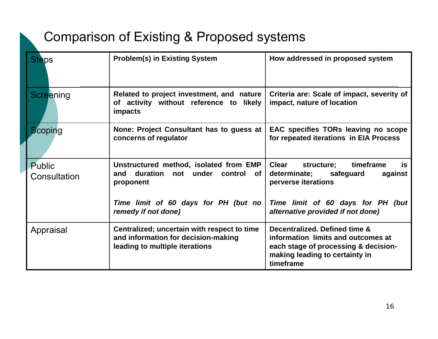### Comparison of Existing & Proposed systems

| <b>Steps</b>                  | <b>Problem(s) in Existing System</b>                                                                                 | How addressed in proposed system                                                                                                                           |  |  |
|-------------------------------|----------------------------------------------------------------------------------------------------------------------|------------------------------------------------------------------------------------------------------------------------------------------------------------|--|--|
| Screening                     | Related to project investment, and nature<br>of activity without reference to likely<br>impacts                      | Criteria are: Scale of impact, severity of<br>impact, nature of location                                                                                   |  |  |
| Scoping                       | None: Project Consultant has to guess at<br>concerns of regulator                                                    | EAC specifies TORs leaving no scope<br>for repeated iterations in EIA Process                                                                              |  |  |
| <b>Public</b><br>Consultation | Unstructured method, isolated from EMP<br>and duration<br>not under control<br>of.<br>proponent                      | <b>Clear</b><br>timeframe<br>structure;<br>is.<br>determinate;<br>safeguard<br>against<br>perverse iterations                                              |  |  |
|                               | Time limit of 60 days for PH (but no<br>remedy if not done)                                                          | Time limit of 60 days for PH (but<br>alternative provided if not done)                                                                                     |  |  |
| Appraisal                     | Centralized; uncertain with respect to time<br>and information for decision-making<br>leading to multiple iterations | Decentralized. Defined time &<br>information limits and outcomes at<br>each stage of processing & decision-<br>making leading to certainty in<br>timeframe |  |  |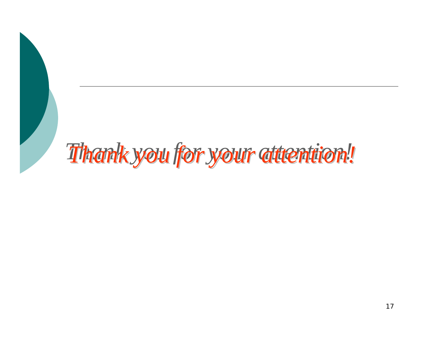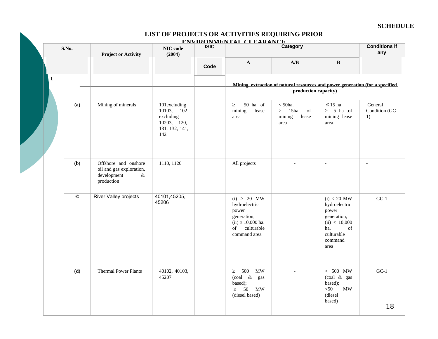#### **SCHEDULE**

#### **LIST OF PROJECTS OR ACTIVITIES REQUIRING PRIOR**

|   | S.No.          | <b>Project or Activity</b>                                                            | NIC code<br>(2004)                                                              | <b>ISIC</b> | ENVIRONMENTAL CLEARANCE                                                                                             | Category                                                                                              |                                                                                                                       | <b>Conditions if</b><br>any     |  |
|---|----------------|---------------------------------------------------------------------------------------|---------------------------------------------------------------------------------|-------------|---------------------------------------------------------------------------------------------------------------------|-------------------------------------------------------------------------------------------------------|-----------------------------------------------------------------------------------------------------------------------|---------------------------------|--|
|   |                |                                                                                       |                                                                                 | Code        | $\mathbf{A}$                                                                                                        | A/B                                                                                                   | $\, {\bf B}$                                                                                                          |                                 |  |
| 1 |                |                                                                                       |                                                                                 |             |                                                                                                                     | Mining, extraction of natural resources and power generation (for a specified<br>production capacity) |                                                                                                                       |                                 |  |
|   | (a)            | Mining of minerals                                                                    | 101excluding<br>10103, 102<br>excluding<br>10203, 120,<br>131, 132, 141,<br>142 |             | 50 ha. of<br>$\geq$<br>mining<br>lease<br>area                                                                      | $<$ 50 $ha$ .<br>$>$ 15ha. of<br>mining<br>lease<br>area                                              | $\leq 15$ ha<br>$\geq$ 5 ha .of<br>mining lease<br>area.                                                              | General<br>Condition (GC-<br>1) |  |
|   | (b)            | Offshore and onshore<br>oil and gas exploration,<br>development<br>$\&$<br>production | 1110, 1120                                                                      |             | All projects                                                                                                        | $\overline{a}$                                                                                        | $\blacksquare$                                                                                                        | $\sim$                          |  |
|   | $\circledcirc$ | River Valley projects                                                                 | 40101,45205,<br>45206                                                           |             | $(i) \geq 20$ MW<br>hydroelectric<br>power<br>generation;<br>$(ii) \ge 10,000$ ha.<br>of culturable<br>command area |                                                                                                       | $(i) < 20$ MW<br>hydroelectric<br>power<br>generation;<br>(ii) < 10,000<br>ha.<br>of<br>culturable<br>command<br>area | $GC-1$                          |  |
|   | (d)            | <b>Thermal Power Plants</b>                                                           | 40102, 40103,<br>45207                                                          |             | $\geq$ 500<br><b>MW</b><br>(coal & gas<br>based);<br>$\geq$ 50 MW<br>(diesel based)                                 |                                                                                                       | $< 500$ MW<br>(coal & gas<br>based);<br>$50$<br>MW<br>(diesel<br>based)                                               | $GC-1$<br>18                    |  |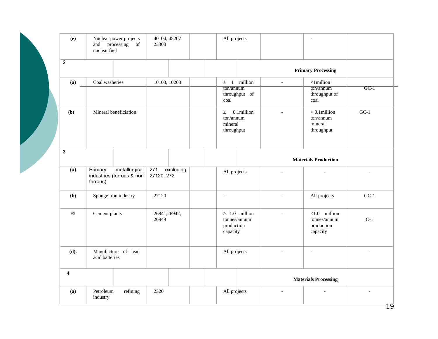| (e)                     | Nuclear power projects<br>processing of<br>and<br>nuclear fuel    | 40104, 45207<br>All projects<br>23300 |                                                              |        |                                                           |        |
|-------------------------|-------------------------------------------------------------------|---------------------------------------|--------------------------------------------------------------|--------|-----------------------------------------------------------|--------|
| $\overline{2}$          |                                                                   |                                       |                                                              |        | <b>Primary Processing</b>                                 |        |
| (a)                     | Coal washeries                                                    | 10103, 10203                          | $\geq 1$ million                                             | $\Box$ | $<$ 1 million                                             |        |
|                         |                                                                   |                                       | ton/annum<br>throughput of<br>coal                           |        | ton/annum<br>throughput of<br>coal                        | $GC-I$ |
| (b)                     | Mineral beneficiation                                             |                                       | 0.1million<br>$\geq$<br>ton/annum<br>mineral<br>throughput   |        | $< 0.1$ million<br>ton/annum<br>mineral<br>throughput     | $GC-1$ |
| $\mathbf{3}$            |                                                                   |                                       |                                                              |        | <b>Materials Production</b>                               |        |
| (a)                     | metallurgical<br>Primary<br>industries (ferrous & non<br>ferrous) | 271<br>excluding<br>27120, 272        | All projects                                                 |        |                                                           |        |
| (b)                     | Sponge iron industry                                              | 27120                                 | $\overline{a}$                                               |        | All projects                                              | $GC-1$ |
| $\odot$                 | Cement plants                                                     | 26941,26942,<br>26949                 | $\geq 1.0$ million<br>tonnes/annum<br>production<br>capacity |        | $< 1.0$ million<br>tonnes/annum<br>production<br>capacity | $C-1$  |
| (d).                    | Manufacture of lead<br>acid batteries                             |                                       | All projects                                                 |        | $\overline{a}$                                            |        |
| $\overline{\mathbf{4}}$ |                                                                   |                                       |                                                              |        | <b>Materials Processing</b>                               |        |
| (a)                     | Petroleum<br>refining<br>industry                                 | 2320                                  | All projects                                                 | $\sim$ |                                                           |        |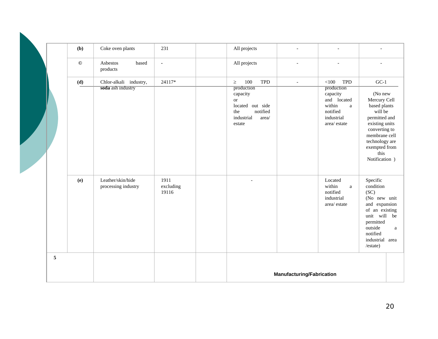|  |                | (b)     | Coke oven plants                         | 231                        | All projects                                                                                                | $\overline{\phantom{a}}$         | $\overline{\phantom{a}}$                                                                                 |                                                                                                                                                                                      |              |
|--|----------------|---------|------------------------------------------|----------------------------|-------------------------------------------------------------------------------------------------------------|----------------------------------|----------------------------------------------------------------------------------------------------------|--------------------------------------------------------------------------------------------------------------------------------------------------------------------------------------|--------------|
|  |                | $\odot$ | Asbestos<br>based<br>products            | $\blacksquare$             | All projects                                                                                                | $\overline{a}$                   | $\overline{\phantom{a}}$                                                                                 |                                                                                                                                                                                      |              |
|  |                | (d)     | Chlor-alkali industry,                   | 24117*                     | 100<br><b>TPD</b><br>$\geq$                                                                                 | $\overline{\phantom{a}}$         | $<$ 100<br><b>TPD</b>                                                                                    | $GC-1$                                                                                                                                                                               |              |
|  |                |         | soda ash industry                        |                            | production<br>capacity<br><b>or</b><br>located out side<br>notified<br>the<br>industrial<br>area/<br>estate |                                  | production<br>capacity<br>and located<br>within<br>$\mathbf{a}$<br>notified<br>industrial<br>area/estate | (No new<br>Mercury Cell<br>based plants<br>will be<br>permitted and<br>existing units<br>converting to<br>membrane cell<br>technology are<br>exempted from<br>this<br>Notification ) |              |
|  |                | (e)     | Leather/skin/hide<br>processing industry | 1911<br>excluding<br>19116 |                                                                                                             |                                  | Located<br>within<br>$\rm{a}$<br>notified<br>industrial<br>$\text{area}/\text{ estate}$                  | Specific<br>condition<br>(SC)<br>(No new unit<br>and expansion<br>of an existing<br>unit will be<br>permitted<br>outside<br>notified<br>industrial area<br>/estate)                  | $\mathbf{a}$ |
|  | $\overline{5}$ |         |                                          |                            |                                                                                                             |                                  |                                                                                                          |                                                                                                                                                                                      |              |
|  |                |         |                                          |                            |                                                                                                             | <b>Manufacturing/Fabrication</b> |                                                                                                          |                                                                                                                                                                                      |              |
|  |                |         |                                          |                            |                                                                                                             |                                  |                                                                                                          |                                                                                                                                                                                      |              |

 $\mathbf{N}$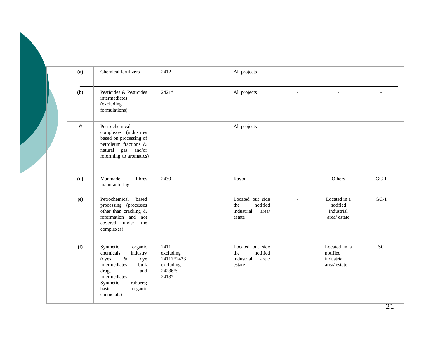| (a)     | Chemical fertilizers                                                                                                                                                                         | 2412                                                             | All projects                                                         |                                                       |           |
|---------|----------------------------------------------------------------------------------------------------------------------------------------------------------------------------------------------|------------------------------------------------------------------|----------------------------------------------------------------------|-------------------------------------------------------|-----------|
| (b)     | Pesticides & Pesticides<br>intermediates<br>(excluding<br>formulations)                                                                                                                      | $2421*$                                                          | All projects                                                         |                                                       |           |
| $\odot$ | Petro-chemical<br>complexes (industries<br>based on processing of<br>petroleum fractions &<br>natural gas and/or<br>reforming to aromatics)                                                  |                                                                  | All projects                                                         |                                                       |           |
| (d)     | Manmade<br>fibres<br>manufacturing                                                                                                                                                           | 2430                                                             | Rayon                                                                | Others                                                | $GC-1$    |
| (e)     | Petrochemical<br>based<br>processing (processes<br>other than cracking &<br>reformation and not<br>covered under<br>the<br>complexes)                                                        |                                                                  | Located out side<br>notified<br>the<br>industrial<br>area/<br>estate | Located in a<br>notified<br>industrial<br>area/estate | $GC-1$    |
| (f)     | Synthetic<br>organic<br>chemicals<br>industry<br>$\&$<br>(dyes<br>dye<br>intermediates;<br>bulk<br>drugs<br>and<br>intermediates;<br>Synthetic<br>rubbers;<br>basic<br>organic<br>chemcials) | 2411<br>excluding<br>24117*2423<br>excluding<br>24236*;<br>2413* | Located out side<br>notified<br>the<br>industrial<br>area/<br>estate | Located in a<br>notified<br>industrial<br>area/estate | <b>SC</b> |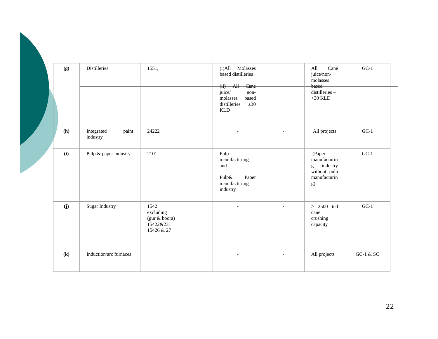| (g)                        | Distilleries                    | 1551,                                                         | Molasses<br>(i) All<br>based distilleries<br>$(ii)$ All Cane<br>juice/<br>non-<br>molasses<br>based |                | Cane<br>All<br>juice/non-<br>molasses<br>based<br>distilleries-<br>$<$ 30 KLD | $GC-1$      |
|----------------------------|---------------------------------|---------------------------------------------------------------|-----------------------------------------------------------------------------------------------------|----------------|-------------------------------------------------------------------------------|-------------|
| (h)                        | Integrated<br>paint<br>industry | 24222                                                         | $\geq 30$<br>distilleries<br><b>KLD</b><br>$\blacksquare$                                           | $\overline{a}$ | All projects                                                                  | $GC-1$      |
| (i)                        | Pulp & paper industry           | 2101                                                          | Pulp<br>manufacturing<br>and<br>Pulp&<br>Paper<br>manufacturing<br>industry                         | $\overline{a}$ | (Paper<br>manufacturin<br>industry<br>g<br>without pulp<br>manufacturin<br>g) | $GC-1$      |
| (j)                        | Sugar Industry                  | 1542<br>excluding<br>(gur & boora)<br>15422&23,<br>15426 & 27 |                                                                                                     | $\overline{a}$ | $\geq 2500$ tcd<br>cane<br>crushing<br>capacity                               | $GC-1$      |
| $\left( \mathbf{k}\right)$ | Induction/arc furnaces          |                                                               | $\overline{\phantom{a}}$                                                                            | $\blacksquare$ | All projects                                                                  | GC-1 $&$ SC |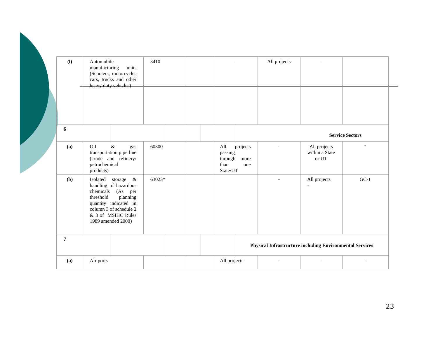| (1)            | Automobile<br>manufacturing<br>units<br>(Scooters, motorcycles,<br>cars, trucks and other<br>heavy duty vehicles)                                                                               | 3410   |                                                                          | All projects |                                                                 |                        |
|----------------|-------------------------------------------------------------------------------------------------------------------------------------------------------------------------------------------------|--------|--------------------------------------------------------------------------|--------------|-----------------------------------------------------------------|------------------------|
| 6              |                                                                                                                                                                                                 |        |                                                                          |              |                                                                 | <b>Service Sectors</b> |
| (a)            | $\&$<br>Oil<br>gas<br>transportation pipe line<br>(crude and refinery/<br>petrochemical<br>products)                                                                                            | 60300  | All<br>projects<br>passing<br>through<br>more<br>than<br>one<br>State/UT |              | All projects<br>within a State<br>or UT                         | $\mathbb{I}$           |
| (b)            | Isolated<br>storage &<br>handling of hazardous<br>chemicals<br>(As per)<br>threshold<br>planning<br>quantity indicated in<br>column 3 of schedule 2<br>& 3 of MSIHC Rules<br>1989 amended 2000) | 63023* |                                                                          |              | All projects                                                    | $GC-1$                 |
| $\overline{7}$ |                                                                                                                                                                                                 |        |                                                                          |              | <b>Physical Infrastructure including Environmental Services</b> |                        |
| (a)            | Air ports                                                                                                                                                                                       |        | All projects                                                             |              |                                                                 |                        |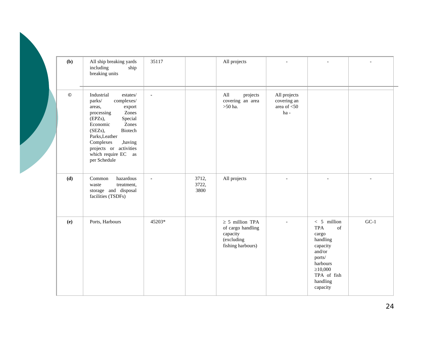| (b)     | All ship breaking yards<br>including<br>ship<br>breaking units                                                                                                                                                                                                                 | 35117          |                        | All projects                                                                             |                                                      |                                                                                                                                                                                                                                                            |        |
|---------|--------------------------------------------------------------------------------------------------------------------------------------------------------------------------------------------------------------------------------------------------------------------------------|----------------|------------------------|------------------------------------------------------------------------------------------|------------------------------------------------------|------------------------------------------------------------------------------------------------------------------------------------------------------------------------------------------------------------------------------------------------------------|--------|
| $\odot$ | Industrial<br>$\emph{estates}/$<br>complexes/<br>parks/<br>areas,<br>export<br>Zones<br>processing<br>Special<br>(EPZs),<br>Economic<br>Zones<br>(SEZs),<br>Biotech<br>Parks, Leather<br>Complexes<br>,having<br>projects or activities<br>which require EC as<br>per Schedule | $\blacksquare$ |                        | projects<br>All<br>covering an area<br>$>\!\!50$ ha.                                     | All projects<br>covering an<br>area of $<$ 50<br>ha- |                                                                                                                                                                                                                                                            |        |
| (d)     | hazardous<br>Common<br>treatment,<br>waste<br>storage and disposal<br>facilities (TSDFs)                                                                                                                                                                                       | $\blacksquare$ | 3712,<br>3722,<br>3800 | All projects                                                                             |                                                      | $\sim$                                                                                                                                                                                                                                                     |        |
| (e)     | Ports, Harbours                                                                                                                                                                                                                                                                | 45203*         |                        | $\geq$ 5 million TPA<br>of cargo handling<br>capacity<br>(excluding<br>fishing harbours) |                                                      | $< 5$ million<br><b>TPA</b><br>$% \left( \left( \mathcal{A},\mathcal{A}\right) \right) =\left( \mathcal{A},\mathcal{A}\right)$ of<br>cargo<br>handling<br>capacity<br>and/or<br>ports/<br>harbours<br>$\geq 10,000$<br>TPA of fish<br>handling<br>capacity | $GC-1$ |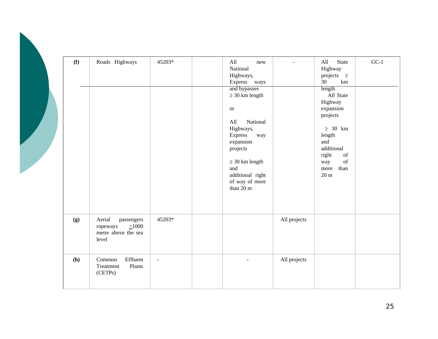| (f) | Roads Highways                                                                  | 45203*              | All<br>new<br>National<br>Highways,<br>Express<br>ways<br>and bypasses<br>$\geq$ 30 km length<br>$\hbox{or}\hskip 1in$<br>All<br>National<br>Highways,<br>Express<br>way<br>expansion<br>projects<br>$\geq 30$ km length<br>and<br>additional right<br>of way of more<br>than 20 m |              | <b>State</b><br>All<br>Highway<br>projects $\geq$<br>30<br>km<br>length<br>All State<br>Highway<br>expansion<br>projects<br>$\geq 30$ km<br>length<br>and<br>additional<br>right<br>of<br>$% \left( \left( \mathcal{A},\mathcal{A}\right) \right) =\left( \mathcal{A},\mathcal{A}\right)$ of<br>way<br>than<br>more<br>$20\ {\rm m}$ | $GC-1$ |
|-----|---------------------------------------------------------------------------------|---------------------|------------------------------------------------------------------------------------------------------------------------------------------------------------------------------------------------------------------------------------------------------------------------------------|--------------|--------------------------------------------------------------------------------------------------------------------------------------------------------------------------------------------------------------------------------------------------------------------------------------------------------------------------------------|--------|
| (g) | Aerial<br>passengers<br>$\geq 1000$<br>ropeways<br>metre above the sea<br>level | 45203*              |                                                                                                                                                                                                                                                                                    | All projects |                                                                                                                                                                                                                                                                                                                                      |        |
| (h) | Effluent<br>Common<br>Treatment<br>Plants<br>(CETPs)                            | $\bar{\phantom{a}}$ |                                                                                                                                                                                                                                                                                    | All projects |                                                                                                                                                                                                                                                                                                                                      |        |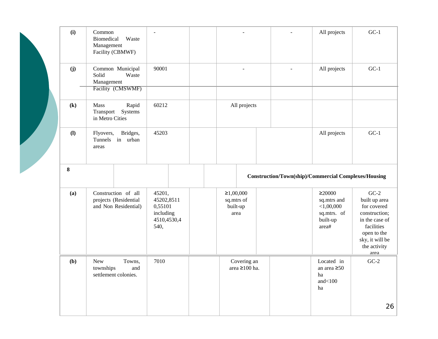|  | (i)                        | Common<br>Biomedical<br>Waste<br>Management<br>Facility (CBMWF)       | $\sim$                                                              | $\blacksquare$                              | $\sim$                                                      | All projects                                                                     | $GC-1$                                                                                                                                            |
|--|----------------------------|-----------------------------------------------------------------------|---------------------------------------------------------------------|---------------------------------------------|-------------------------------------------------------------|----------------------------------------------------------------------------------|---------------------------------------------------------------------------------------------------------------------------------------------------|
|  | (j)                        | Common Municipal<br>Solid<br>Waste<br>Management<br>Facility (CMSWMF) | 90001                                                               | $\overline{a}$                              |                                                             | All projects                                                                     | $GC-1$                                                                                                                                            |
|  | $\left( \mathbf{k}\right)$ | Mass<br>Rapid<br>Transport<br>Systems<br>in Metro Cities              | 60212                                                               | All projects                                |                                                             |                                                                                  |                                                                                                                                                   |
|  | (1)                        | Bridges,<br>Flyovers,<br>in urban<br>Tunnels<br>areas                 | 45203                                                               |                                             |                                                             | All projects                                                                     | $GC-1$                                                                                                                                            |
|  | $\bf 8$                    |                                                                       |                                                                     |                                             | <b>Construction/Town(ship)/Commercial Complexes/Housing</b> |                                                                                  |                                                                                                                                                   |
|  | (a)                        | Construction of all<br>projects (Residential<br>and Non Residential)  | 45201,<br>45202,8511<br>0,55101<br>including<br>4510,4530,4<br>540, | ≥1,00,000<br>sq.mtrs of<br>built-up<br>area |                                                             | $\geq$ 20000<br>sq.mtrs and<br>${<}1,00,000$<br>sq.mtrs. of<br>built-up<br>area# | $GC-2$<br>built up area<br>for covered<br>construction;<br>in the case of<br>facilities<br>open to the<br>sky, it will be<br>the activity<br>area |
|  | (b)                        | New<br>Towns,<br>townships<br>and<br>settlement colonies.             | 7010                                                                | Covering an<br>area $\geq$ 100 ha.          |                                                             | Located in<br>an area $\geq 50$<br>ha<br>and $<$ 100<br>ha                       | $GC-2$                                                                                                                                            |
|  |                            |                                                                       |                                                                     |                                             |                                                             |                                                                                  | 26                                                                                                                                                |